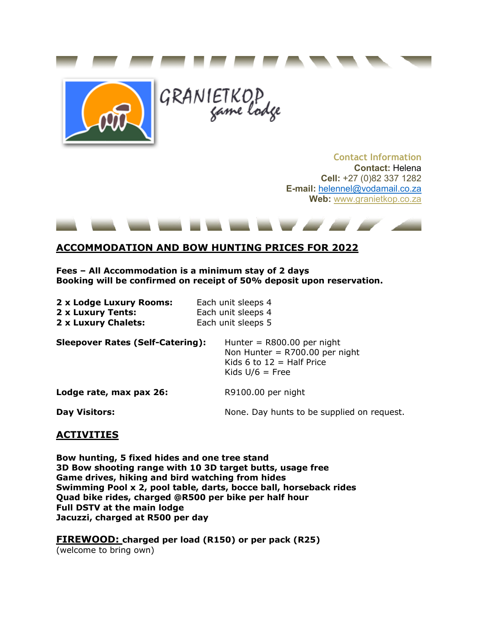



GRANIETKOP

## **Contact Information Contact:** Helena **Cell:** +27 (0)82 337 1282 **E-mail:** [helennel@vodamail.co.za](mailto:helennel@vodamail.co.za) **Web:** [www.granietkop.co.za](http://www.granietkop.co.za/)

the property of the control of the control of

## **ACCOMMODATION AND BOW HUNTING PRICES FOR 2022**

**Fees – All Accommodation is a minimum stay of 2 days Booking will be confirmed on receipt of 50% deposit upon reservation.**

| 2 x Lodge Luxury Rooms:<br>2 x Luxury Tents:<br>2 x Luxury Chalets: | Each unit sleeps 4<br>Each unit sleeps 4<br>Each unit sleeps 5                                                       |  |  |  |  |
|---------------------------------------------------------------------|----------------------------------------------------------------------------------------------------------------------|--|--|--|--|
| <b>Sleepover Rates (Self-Catering):</b>                             | Hunter = $R800.00$ per night<br>Non Hunter = $R700.00$ per night<br>Kids 6 to $12$ = Half Price<br>Kids $U/6$ = Free |  |  |  |  |
| Lodge rate, max pax 26:                                             | R9100.00 per night                                                                                                   |  |  |  |  |
| <b>Day Visitors:</b>                                                | None. Day hunts to be supplied on request.                                                                           |  |  |  |  |

## **ACTIVITIES**

**Bow hunting, 5 fixed hides and one tree stand 3D Bow shooting range with 10 3D target butts, usage free Game drives, hiking and bird watching from hides Swimming Pool x 2, pool table, darts, bocce ball, horseback rides Quad bike rides, charged @R500 per bike per half hour Full DSTV at the main lodge Jacuzzi, charged at R500 per day**

**FIREWOOD: charged per load (R150) or per pack (R25)** (welcome to bring own)